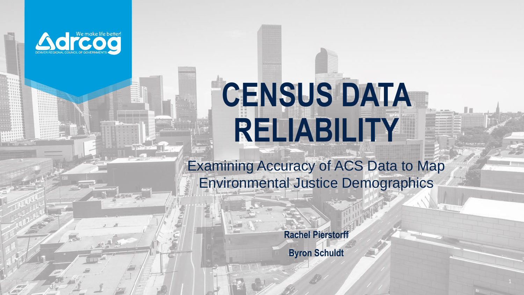

# **CENSUS DATA RELIABILITY**

Examining Accuracy of ACS Data to Map Environmental Justice Demographics

**Rachel Pierstorff**

**Byron Schuldt**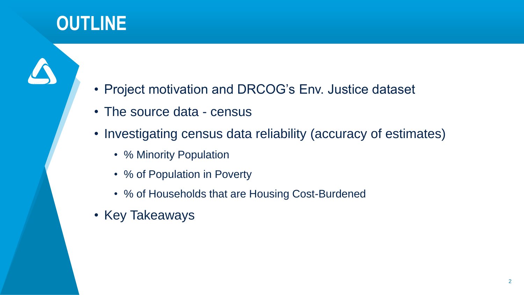# **OUTLINE**

- Project motivation and DRCOG's Env. Justice dataset
- The source data census
- Investigating census data reliability (accuracy of estimates)
	- % Minority Population
	- % of Population in Poverty
	- % of Households that are Housing Cost-Burdened
- Key Takeaways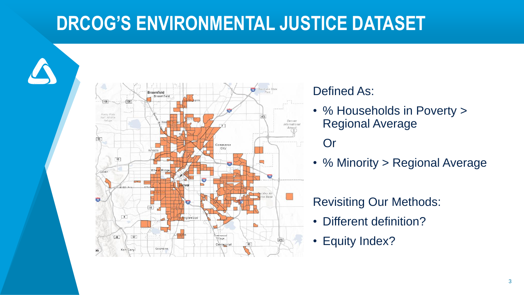## **DRCOG'S ENVIRONMENTAL JUSTICE DATASET**



#### Defined As:

• % Households in Poverty > Regional Average

#### **Or**

• % Minority > Regional Average

#### Revisiting Our Methods:

- Different definition?
- Equity Index?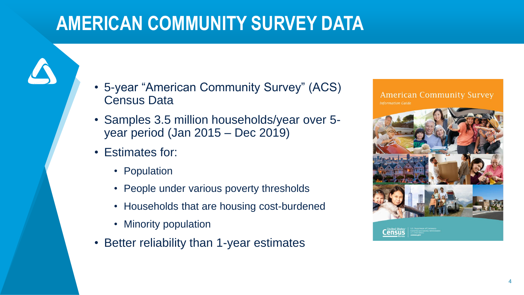## **AMERICAN COMMUNITY SURVEY DATA**

- 5-year "American Community Survey" (ACS) Census Data
- Samples 3.5 million households/year over 5 year period (Jan 2015 – Dec 2019)
- Estimates for:
	- Population
	- People under various poverty thresholds
	- Households that are housing cost-burdened
	- Minority population
- Better reliability than 1-year estimates

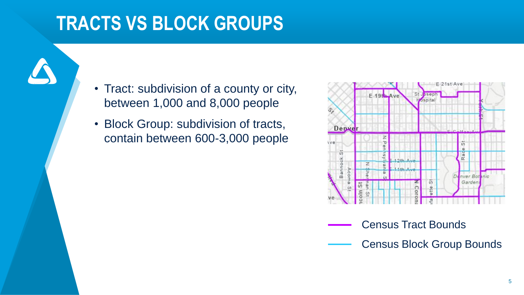### **TRACTS VS BLOCK GROUPS**

- Tract: subdivision of a county or city, between 1,000 and 8,000 people
- Block Group: subdivision of tracts, contain between 600-3,000 people



- Census Tract Bounds
	- Census Block Group Bounds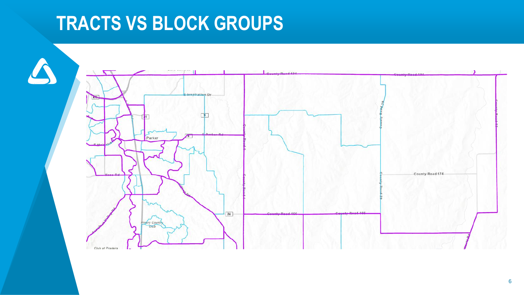## **TRACTS VS BLOCK GROUPS**

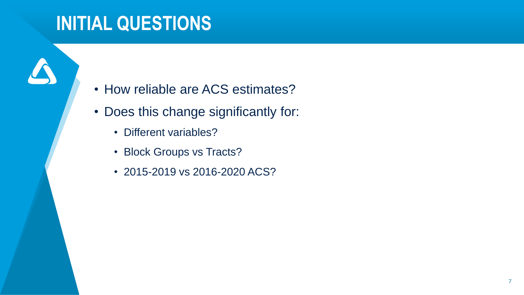### **INITIAL QUESTIONS**

- How reliable are ACS estimates?
- Does this change significantly for:
	- Different variables?
	- Block Groups vs Tracts?
	- 2015-2019 vs 2016-2020 ACS?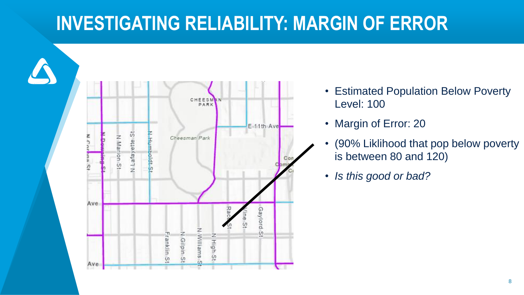## **INVESTIGATING RELIABILITY: MARGIN OF ERROR**



- Estimated Population Below Poverty Level: 100
- Margin of Error: 20
- (90% Liklihood that pop below poverty is between 80 and 120)
- *Is this good or bad?*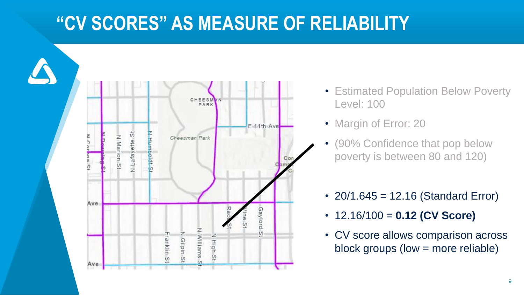#### **"CV SCORES" AS MEASURE OF RELIABILITY**



- Estimated Population Below Poverty Level: 100
- Margin of Error: 20
- (90% Confidence that pop below poverty is between 80 and 120)
- 20/1.645 = 12.16 (Standard Error)
- 12.16/100 = **0.12 (CV Score)**
- CV score allows comparison across block groups (low = more reliable)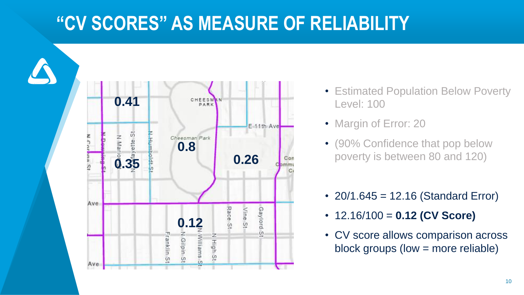#### **"CV SCORES" AS MEASURE OF RELIABILITY**



- Estimated Population Below Poverty Level: 100
- Margin of Error: 20
- (90% Confidence that pop below poverty is between 80 and 120)
- 20/1.645 = 12.16 (Standard Error)
- 12.16/100 = **0.12 (CV Score)**
- CV score allows comparison across block groups (low = more reliable)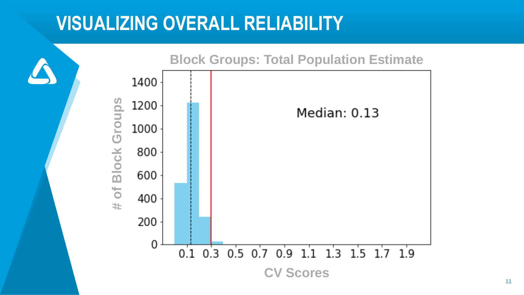#### **VISUALIZING OVERALL RELIABILITY**

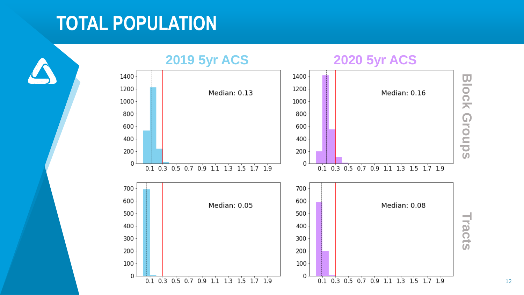### **TOTAL POPULATION**

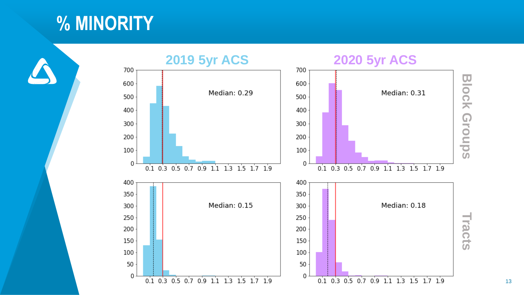#### **% MINORITY**

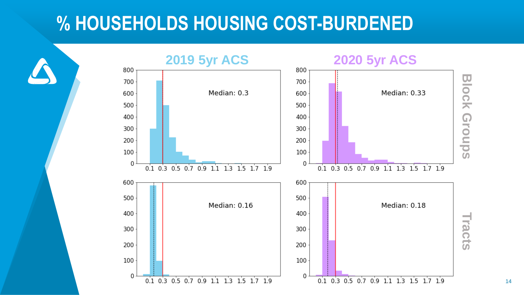#### **% HOUSEHOLDS HOUSING COST-BURDENED**

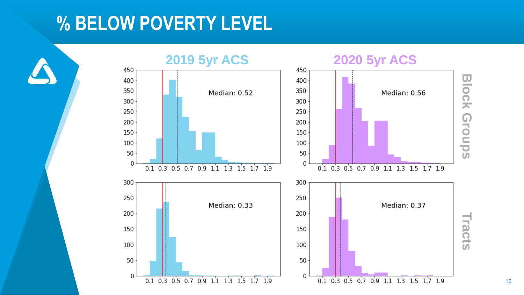#### **% BELOW POVERTY LEVEL**

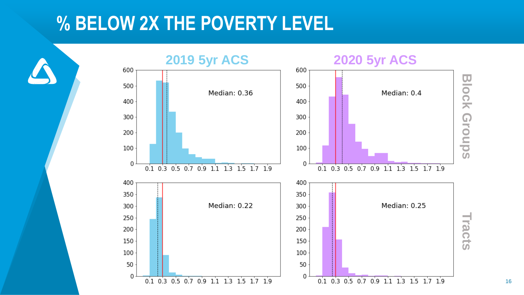#### **% BELOW 2X THE POVERTY LEVEL**



16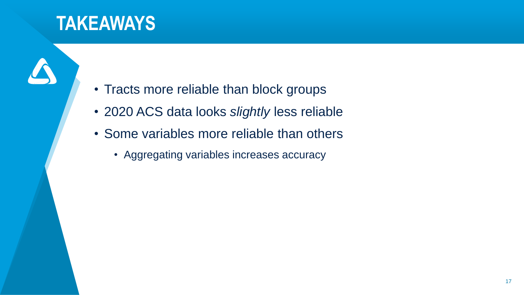### **TAKEAWAYS**

- Tracts more reliable than block groups
- 2020 ACS data looks *slightly* less reliable
- Some variables more reliable than others
	- Aggregating variables increases accuracy